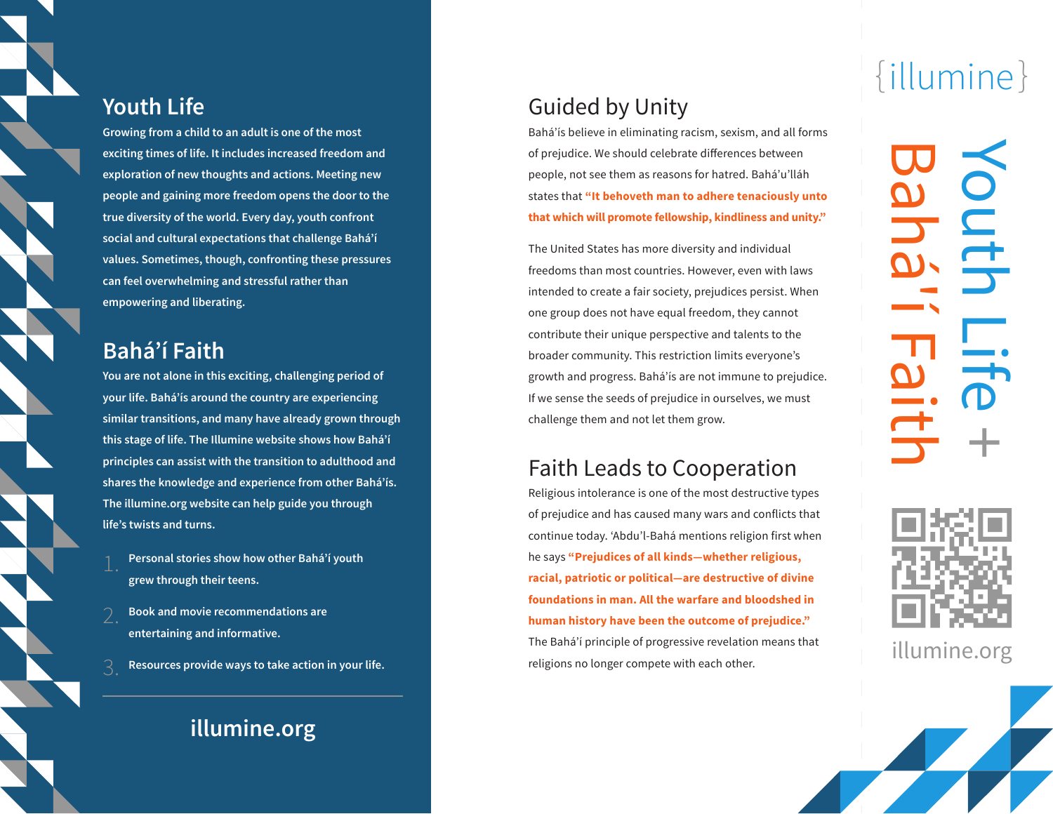#### **Youth Life**

**Growing from a child to an adult is one of the most exciting times of life. It includes increased freedom and exploration of new thoughts and actions. Meeting new people and gaining more freedom opens the door to the true diversity of the world. Every day, youth confront social and cultural expectations that challenge Bahá'í values. Sometimes, though, confronting these pressures can feel overwhelming and stressful rather than empowering and liberating.**

### **Bahá'í Faith**

**You are not alone in this exciting, challenging period of your life. Bahá'ís around the country are experiencing similar transitions, and many have already grown through this stage of life. The Illumine website shows how Bahá'í principles can assist with the transition to adulthood and shares the knowledge and experience from other Bahá'ís. The illumine.org website can help guide you through life's twists and turns.**

- **Personal stories show how other Bahá'í youth grew through their teens.**
- **Book and movie recommendations are entertaining and informative.**
- **Resources provide ways to take action in your life.**

## **illumine.org**

## Guided by Unity

Bahá'ís believe in eliminating racism, sexism, and all forms of prejudice. We should celebrate differences between people, not see them as reasons for hatred. Bahá'u'lláh states that **"It behoveth man to adhere tenaciously unto that which will promote fellowship, kindliness and unity."** 

The United States has more diversity and individual freedoms than most countries. However, even with laws intended to create a fair society, prejudices persist. When one group does not have equal freedom, they cannot contribute their unique perspective and talents to the broader community. This restriction limits everyone's growth and progress. Bahá'ís are not immune to prejudice. If we sense the seeds of prejudice in ourselves, we must challenge them and not let them grow.

#### Faith Leads to Cooperation

Religious intolerance is one of the most destructive types of prejudice and has caused many wars and conflicts that continue today. 'Abdu'l-Bahá mentions religion first when he says **"Prejudices of all kinds—whether religious, racial, patriotic or political—are destructive of divine foundations in man. All the warfare and bloodshed in human history have been the outcome of prejudice."** The Bahá'í principle of progressive revelation means that religions no longer compete with each other.

# {illumine }

Youth Life + Bahá'í Faith



illumine.org